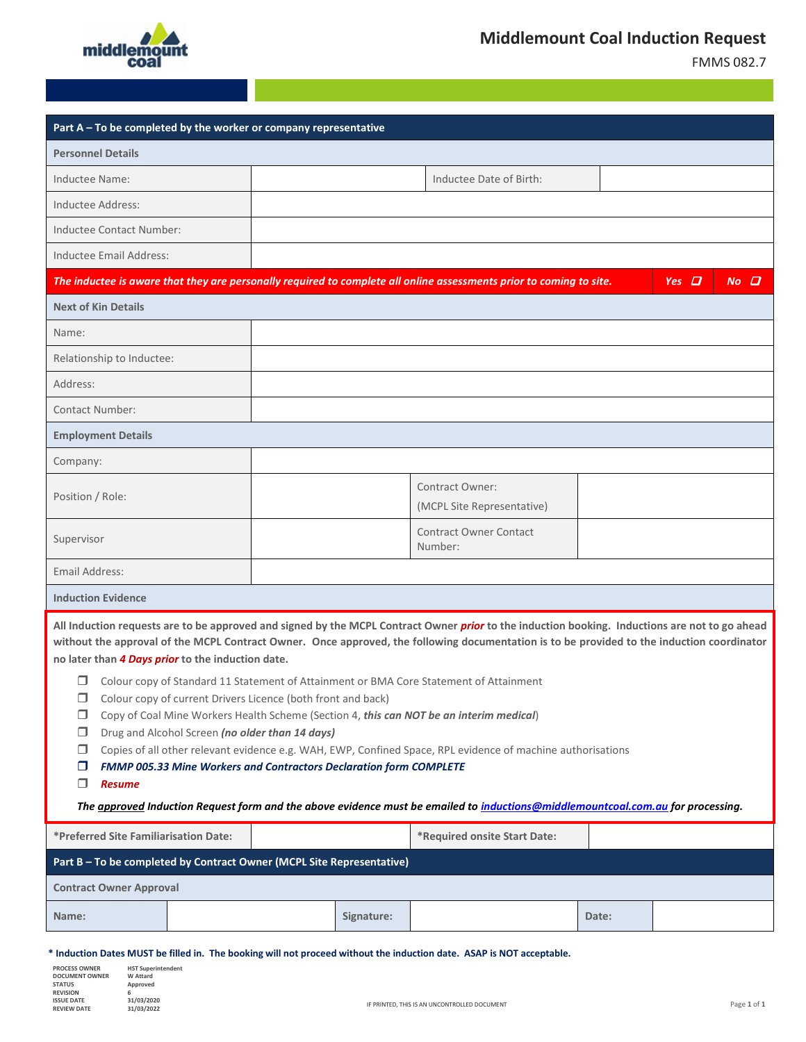

**PROCESS OWNER DOCUMENT OWNER STATUS REVISION ISSUE DATE REVIEW DATE**

**HST Superintendent W Attard Approved 6 31/03/2020**

FMMS 082.7

| Part A - To be completed by the worker or company representative                                                                                                                                                                                                                                                                                                                                                                                                                                                                                                                                                 |  |  |            |                                               |       |  |
|------------------------------------------------------------------------------------------------------------------------------------------------------------------------------------------------------------------------------------------------------------------------------------------------------------------------------------------------------------------------------------------------------------------------------------------------------------------------------------------------------------------------------------------------------------------------------------------------------------------|--|--|------------|-----------------------------------------------|-------|--|
| <b>Personnel Details</b>                                                                                                                                                                                                                                                                                                                                                                                                                                                                                                                                                                                         |  |  |            |                                               |       |  |
| Inductee Name:                                                                                                                                                                                                                                                                                                                                                                                                                                                                                                                                                                                                   |  |  |            | Inductee Date of Birth:                       |       |  |
| Inductee Address:                                                                                                                                                                                                                                                                                                                                                                                                                                                                                                                                                                                                |  |  |            |                                               |       |  |
| Inductee Contact Number:                                                                                                                                                                                                                                                                                                                                                                                                                                                                                                                                                                                         |  |  |            |                                               |       |  |
| Inductee Email Address:                                                                                                                                                                                                                                                                                                                                                                                                                                                                                                                                                                                          |  |  |            |                                               |       |  |
| Yes $\Box$<br>$No$ $\Box$<br>The inductee is aware that they are personally required to complete all online assessments prior to coming to site.                                                                                                                                                                                                                                                                                                                                                                                                                                                                 |  |  |            |                                               |       |  |
| <b>Next of Kin Details</b>                                                                                                                                                                                                                                                                                                                                                                                                                                                                                                                                                                                       |  |  |            |                                               |       |  |
| Name:                                                                                                                                                                                                                                                                                                                                                                                                                                                                                                                                                                                                            |  |  |            |                                               |       |  |
| Relationship to Inductee:                                                                                                                                                                                                                                                                                                                                                                                                                                                                                                                                                                                        |  |  |            |                                               |       |  |
| Address:                                                                                                                                                                                                                                                                                                                                                                                                                                                                                                                                                                                                         |  |  |            |                                               |       |  |
| <b>Contact Number:</b>                                                                                                                                                                                                                                                                                                                                                                                                                                                                                                                                                                                           |  |  |            |                                               |       |  |
| <b>Employment Details</b>                                                                                                                                                                                                                                                                                                                                                                                                                                                                                                                                                                                        |  |  |            |                                               |       |  |
| Company:                                                                                                                                                                                                                                                                                                                                                                                                                                                                                                                                                                                                         |  |  |            |                                               |       |  |
| Position / Role:                                                                                                                                                                                                                                                                                                                                                                                                                                                                                                                                                                                                 |  |  |            | Contract Owner:<br>(MCPL Site Representative) |       |  |
| Supervisor                                                                                                                                                                                                                                                                                                                                                                                                                                                                                                                                                                                                       |  |  |            | <b>Contract Owner Contact</b><br>Number:      |       |  |
| Email Address:                                                                                                                                                                                                                                                                                                                                                                                                                                                                                                                                                                                                   |  |  |            |                                               |       |  |
| <b>Induction Evidence</b>                                                                                                                                                                                                                                                                                                                                                                                                                                                                                                                                                                                        |  |  |            |                                               |       |  |
| All Induction requests are to be approved and signed by the MCPL Contract Owner prior to the induction booking. Inductions are not to go ahead<br>without the approval of the MCPL Contract Owner. Once approved, the following documentation is to be provided to the induction coordinator<br>no later than 4 Days prior to the induction date.<br>Colour copy of Standard 11 Statement of Attainment or BMA Core Statement of Attainment<br>Colour copy of current Drivers Licence (both front and back)<br>□<br>□<br>Copy of Coal Mine Workers Health Scheme (Section 4, this can NOT be an interim medical) |  |  |            |                                               |       |  |
| Drug and Alcohol Screen (no older than 14 days)<br>□<br>Copies of all other relevant evidence e.g. WAH, EWP, Confined Space, RPL evidence of machine authorisations<br>□<br>FMMP 005.33 Mine Workers and Contractors Declaration form COMPLETE<br>□<br>□<br><b>Resume</b><br>The approved Induction Request form and the above evidence must be emailed to inductions@middlemountcoal.com.au for processing.                                                                                                                                                                                                     |  |  |            |                                               |       |  |
|                                                                                                                                                                                                                                                                                                                                                                                                                                                                                                                                                                                                                  |  |  |            |                                               |       |  |
| *Preferred Site Familiarisation Date:                                                                                                                                                                                                                                                                                                                                                                                                                                                                                                                                                                            |  |  |            | *Required onsite Start Date:                  |       |  |
| Part B - To be completed by Contract Owner (MCPL Site Representative)                                                                                                                                                                                                                                                                                                                                                                                                                                                                                                                                            |  |  |            |                                               |       |  |
| <b>Contract Owner Approval</b>                                                                                                                                                                                                                                                                                                                                                                                                                                                                                                                                                                                   |  |  |            |                                               |       |  |
| Name:                                                                                                                                                                                                                                                                                                                                                                                                                                                                                                                                                                                                            |  |  | Signature: |                                               | Date: |  |
| * Induction Dates MUST be filled in. The booking will not proceed without the induction date. ASAP is NOT acceptable.                                                                                                                                                                                                                                                                                                                                                                                                                                                                                            |  |  |            |                                               |       |  |